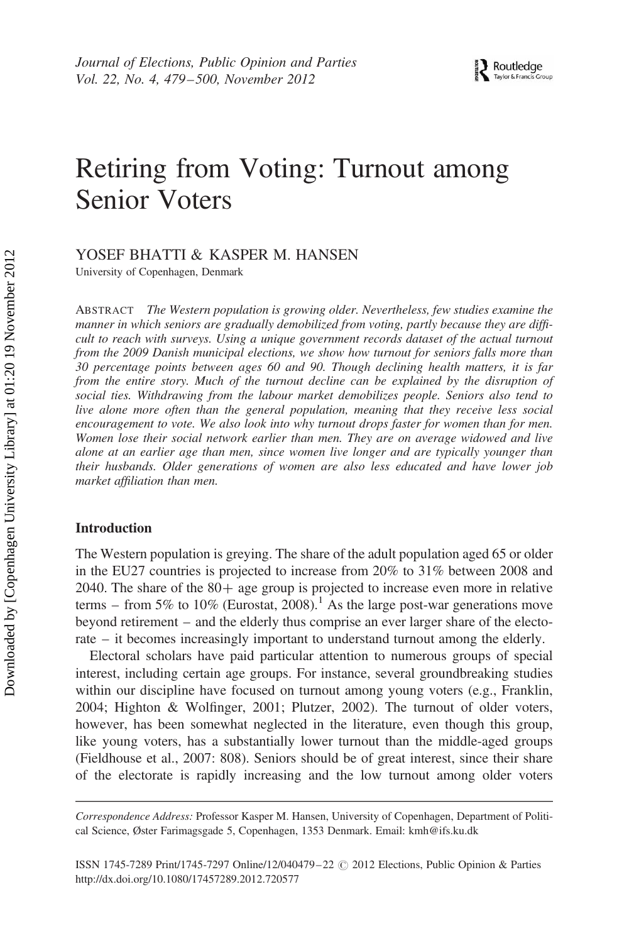# Retiring from Voting: Turnout among Senior Voters

# YOSEF BHATTI & KASPER M. HANSEN

University of Copenhagen, Denmark

ABSTRACT The Western population is growing older. Nevertheless, few studies examine the manner in which seniors are gradually demobilized from voting, partly because they are difficult to reach with surveys. Using a unique government records dataset of the actual turnout from the 2009 Danish municipal elections, we show how turnout for seniors falls more than 30 percentage points between ages 60 and 90. Though declining health matters, it is far from the entire story. Much of the turnout decline can be explained by the disruption of social ties. Withdrawing from the labour market demobilizes people. Seniors also tend to live alone more often than the general population, meaning that they receive less social encouragement to vote. We also look into why turnout drops faster for women than for men. Women lose their social network earlier than men. They are on average widowed and live alone at an earlier age than men, since women live longer and are typically younger than their husbands. Older generations of women are also less educated and have lower job market affiliation than men.

## Introduction

The Western population is greying. The share of the adult population aged 65 or older in the EU27 countries is projected to increase from 20% to 31% between 2008 and  $2040$ . The share of the  $80+$  age group is projected to increase even more in relative terms – from 5% to 10% (Eurostat, 2008).<sup>1</sup> As the large post-war generations move beyond retirement – and the elderly thus comprise an ever larger share of the electorate – it becomes increasingly important to understand turnout among the elderly.

Electoral scholars have paid particular attention to numerous groups of special interest, including certain age groups. For instance, several groundbreaking studies within our discipline have focused on turnout among young voters (e.g., Franklin, 2004; Highton & Wolfinger, 2001; Plutzer, 2002). The turnout of older voters, however, has been somewhat neglected in the literature, even though this group, like young voters, has a substantially lower turnout than the middle-aged groups (Fieldhouse et al., 2007: 808). Seniors should be of great interest, since their share of the electorate is rapidly increasing and the low turnout among older voters

Correspondence Address: Professor Kasper M. Hansen, University of Copenhagen, Department of Political Science, Øster Farimagsgade 5, Copenhagen, 1353 Denmark. Email: kmh@ifs.ku.dk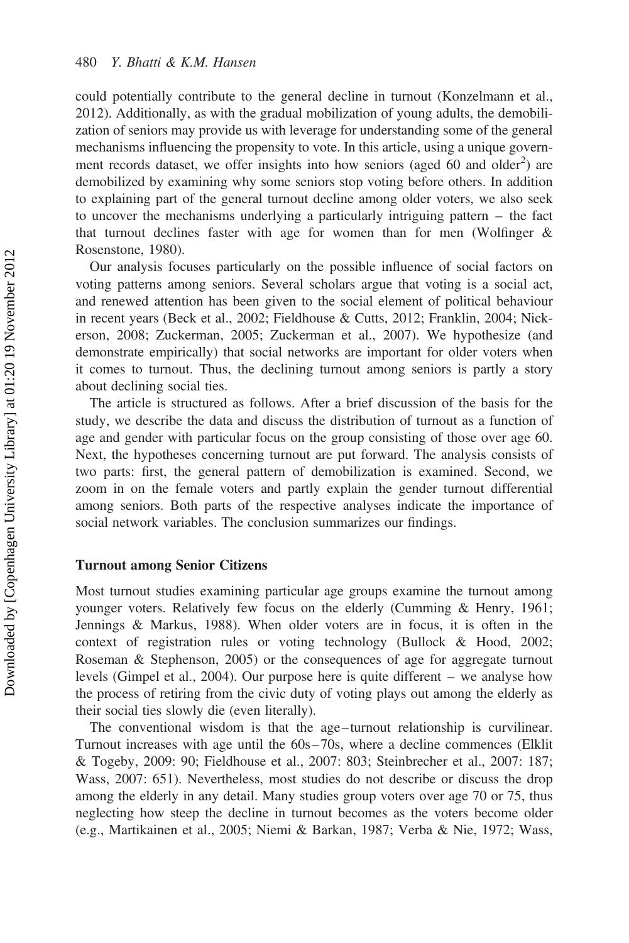could potentially contribute to the general decline in turnout (Konzelmann et al., 2012). Additionally, as with the gradual mobilization of young adults, the demobilization of seniors may provide us with leverage for understanding some of the general mechanisms influencing the propensity to vote. In this article, using a unique government records dataset, we offer insights into how seniors (aged 60 and older<sup>2</sup>) are demobilized by examining why some seniors stop voting before others. In addition to explaining part of the general turnout decline among older voters, we also seek to uncover the mechanisms underlying a particularly intriguing pattern – the fact that turnout declines faster with age for women than for men (Wolfinger & Rosenstone, 1980).

Our analysis focuses particularly on the possible influence of social factors on voting patterns among seniors. Several scholars argue that voting is a social act, and renewed attention has been given to the social element of political behaviour in recent years (Beck et al., 2002; Fieldhouse & Cutts, 2012; Franklin, 2004; Nickerson, 2008; Zuckerman, 2005; Zuckerman et al., 2007). We hypothesize (and demonstrate empirically) that social networks are important for older voters when it comes to turnout. Thus, the declining turnout among seniors is partly a story about declining social ties.

The article is structured as follows. After a brief discussion of the basis for the study, we describe the data and discuss the distribution of turnout as a function of age and gender with particular focus on the group consisting of those over age 60. Next, the hypotheses concerning turnout are put forward. The analysis consists of two parts: first, the general pattern of demobilization is examined. Second, we zoom in on the female voters and partly explain the gender turnout differential among seniors. Both parts of the respective analyses indicate the importance of social network variables. The conclusion summarizes our findings.

### Turnout among Senior Citizens

Most turnout studies examining particular age groups examine the turnout among younger voters. Relatively few focus on the elderly (Cumming & Henry, 1961; Jennings & Markus, 1988). When older voters are in focus, it is often in the context of registration rules or voting technology (Bullock & Hood, 2002; Roseman & Stephenson, 2005) or the consequences of age for aggregate turnout levels (Gimpel et al., 2004). Our purpose here is quite different – we analyse how the process of retiring from the civic duty of voting plays out among the elderly as their social ties slowly die (even literally).

The conventional wisdom is that the age–turnout relationship is curvilinear. Turnout increases with age until the 60s–70s, where a decline commences (Elklit & Togeby, 2009: 90; Fieldhouse et al., 2007: 803; Steinbrecher et al., 2007: 187; Wass, 2007: 651). Nevertheless, most studies do not describe or discuss the drop among the elderly in any detail. Many studies group voters over age 70 or 75, thus neglecting how steep the decline in turnout becomes as the voters become older (e.g., Martikainen et al., 2005; Niemi & Barkan, 1987; Verba & Nie, 1972; Wass,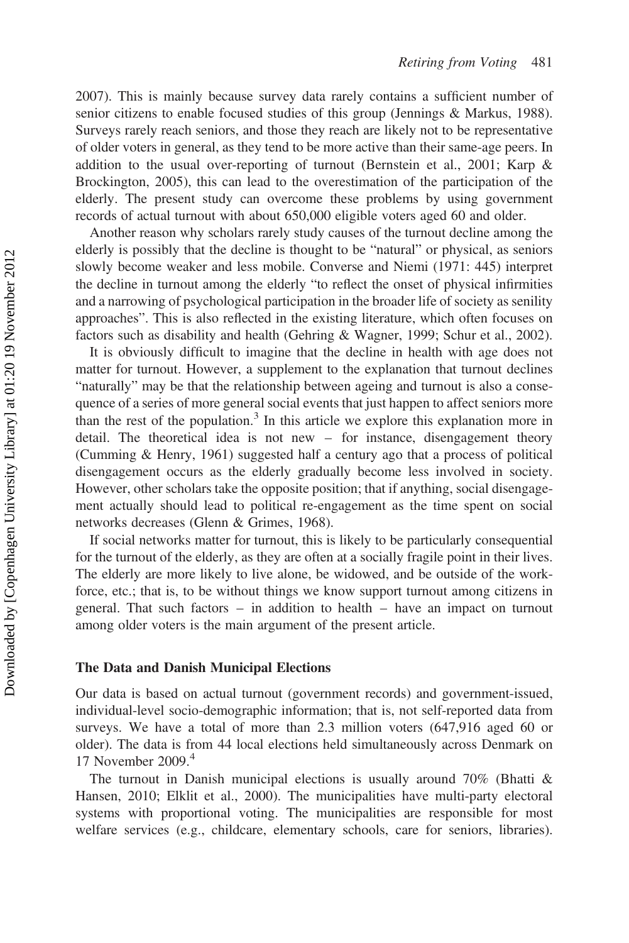2007). This is mainly because survey data rarely contains a sufficient number of senior citizens to enable focused studies of this group (Jennings & Markus, 1988). Surveys rarely reach seniors, and those they reach are likely not to be representative of older voters in general, as they tend to be more active than their same-age peers. In addition to the usual over-reporting of turnout (Bernstein et al., 2001; Karp & Brockington, 2005), this can lead to the overestimation of the participation of the elderly. The present study can overcome these problems by using government records of actual turnout with about 650,000 eligible voters aged 60 and older.

Another reason why scholars rarely study causes of the turnout decline among the elderly is possibly that the decline is thought to be "natural" or physical, as seniors slowly become weaker and less mobile. Converse and Niemi (1971: 445) interpret the decline in turnout among the elderly "to reflect the onset of physical infirmities and a narrowing of psychological participation in the broader life of society as senility approaches". This is also reflected in the existing literature, which often focuses on factors such as disability and health (Gehring & Wagner, 1999; Schur et al., 2002).

It is obviously difficult to imagine that the decline in health with age does not matter for turnout. However, a supplement to the explanation that turnout declines "naturally" may be that the relationship between ageing and turnout is also a consequence of a series of more general social events that just happen to affect seniors more than the rest of the population. $3$  In this article we explore this explanation more in detail. The theoretical idea is not new – for instance, disengagement theory (Cumming & Henry, 1961) suggested half a century ago that a process of political disengagement occurs as the elderly gradually become less involved in society. However, other scholars take the opposite position; that if anything, social disengagement actually should lead to political re-engagement as the time spent on social networks decreases (Glenn & Grimes, 1968).

If social networks matter for turnout, this is likely to be particularly consequential for the turnout of the elderly, as they are often at a socially fragile point in their lives. The elderly are more likely to live alone, be widowed, and be outside of the workforce, etc.; that is, to be without things we know support turnout among citizens in general. That such factors – in addition to health – have an impact on turnout among older voters is the main argument of the present article.

## The Data and Danish Municipal Elections

Our data is based on actual turnout (government records) and government-issued, individual-level socio-demographic information; that is, not self-reported data from surveys. We have a total of more than 2.3 million voters (647,916 aged 60 or older). The data is from 44 local elections held simultaneously across Denmark on 17 November 2009.<sup>4</sup>

The turnout in Danish municipal elections is usually around  $70\%$  (Bhatti & Hansen, 2010; Elklit et al., 2000). The municipalities have multi-party electoral systems with proportional voting. The municipalities are responsible for most welfare services (e.g., childcare, elementary schools, care for seniors, libraries).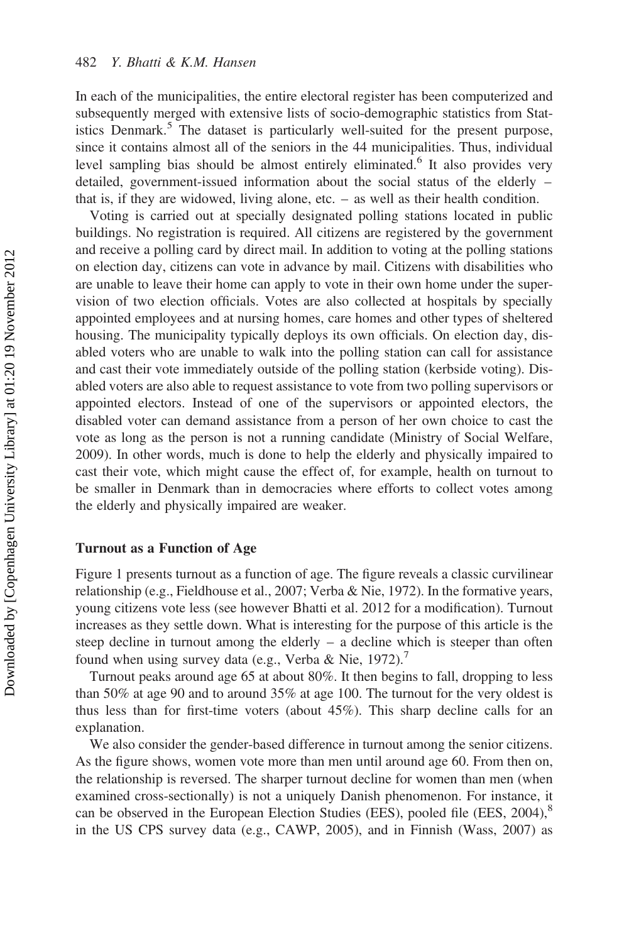In each of the municipalities, the entire electoral register has been computerized and subsequently merged with extensive lists of socio-demographic statistics from Statistics Denmark.<sup>5</sup> The dataset is particularly well-suited for the present purpose, since it contains almost all of the seniors in the 44 municipalities. Thus, individual level sampling bias should be almost entirely eliminated.<sup>6</sup> It also provides very detailed, government-issued information about the social status of the elderly – that is, if they are widowed, living alone, etc. – as well as their health condition.

Voting is carried out at specially designated polling stations located in public buildings. No registration is required. All citizens are registered by the government and receive a polling card by direct mail. In addition to voting at the polling stations on election day, citizens can vote in advance by mail. Citizens with disabilities who are unable to leave their home can apply to vote in their own home under the supervision of two election officials. Votes are also collected at hospitals by specially appointed employees and at nursing homes, care homes and other types of sheltered housing. The municipality typically deploys its own officials. On election day, disabled voters who are unable to walk into the polling station can call for assistance and cast their vote immediately outside of the polling station (kerbside voting). Disabled voters are also able to request assistance to vote from two polling supervisors or appointed electors. Instead of one of the supervisors or appointed electors, the disabled voter can demand assistance from a person of her own choice to cast the vote as long as the person is not a running candidate (Ministry of Social Welfare, 2009). In other words, much is done to help the elderly and physically impaired to cast their vote, which might cause the effect of, for example, health on turnout to be smaller in Denmark than in democracies where efforts to collect votes among the elderly and physically impaired are weaker.

## Turnout as a Function of Age

Figure 1 presents turnout as a function of age. The figure reveals a classic curvilinear relationship (e.g., Fieldhouse et al., 2007; Verba & Nie, 1972). In the formative years, young citizens vote less (see however Bhatti et al. 2012 for a modification). Turnout increases as they settle down. What is interesting for the purpose of this article is the steep decline in turnout among the elderly – a decline which is steeper than often found when using survey data (e.g., Verba & Nie, 1972).<sup>7</sup>

Turnout peaks around age 65 at about 80%. It then begins to fall, dropping to less than 50% at age 90 and to around 35% at age 100. The turnout for the very oldest is thus less than for first-time voters (about 45%). This sharp decline calls for an explanation.

We also consider the gender-based difference in turnout among the senior citizens. As the figure shows, women vote more than men until around age 60. From then on, the relationship is reversed. The sharper turnout decline for women than men (when examined cross-sectionally) is not a uniquely Danish phenomenon. For instance, it can be observed in the European Election Studies (EES), pooled file (EES,  $2004$ ),<sup>8</sup> in the US CPS survey data (e.g., CAWP, 2005), and in Finnish (Wass, 2007) as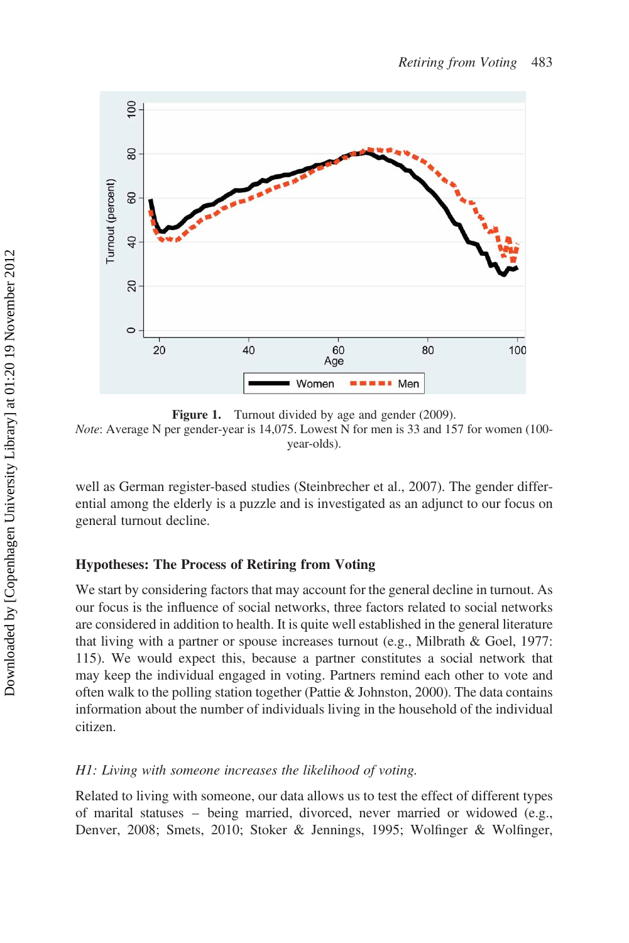

Figure 1. Turnout divided by age and gender (2009). Note: Average N per gender-year is 14,075. Lowest N for men is 33 and 157 for women (100 year-olds).

well as German register-based studies (Steinbrecher et al., 2007). The gender differential among the elderly is a puzzle and is investigated as an adjunct to our focus on general turnout decline.

## Hypotheses: The Process of Retiring from Voting

We start by considering factors that may account for the general decline in turnout. As our focus is the influence of social networks, three factors related to social networks are considered in addition to health. It is quite well established in the general literature that living with a partner or spouse increases turnout (e.g., Milbrath & Goel, 1977: 115). We would expect this, because a partner constitutes a social network that may keep the individual engaged in voting. Partners remind each other to vote and often walk to the polling station together (Pattie  $&$  Johnston, 2000). The data contains information about the number of individuals living in the household of the individual citizen.

## H1: Living with someone increases the likelihood of voting.

Related to living with someone, our data allows us to test the effect of different types of marital statuses – being married, divorced, never married or widowed (e.g., Denver, 2008; Smets, 2010; Stoker & Jennings, 1995; Wolfinger & Wolfinger,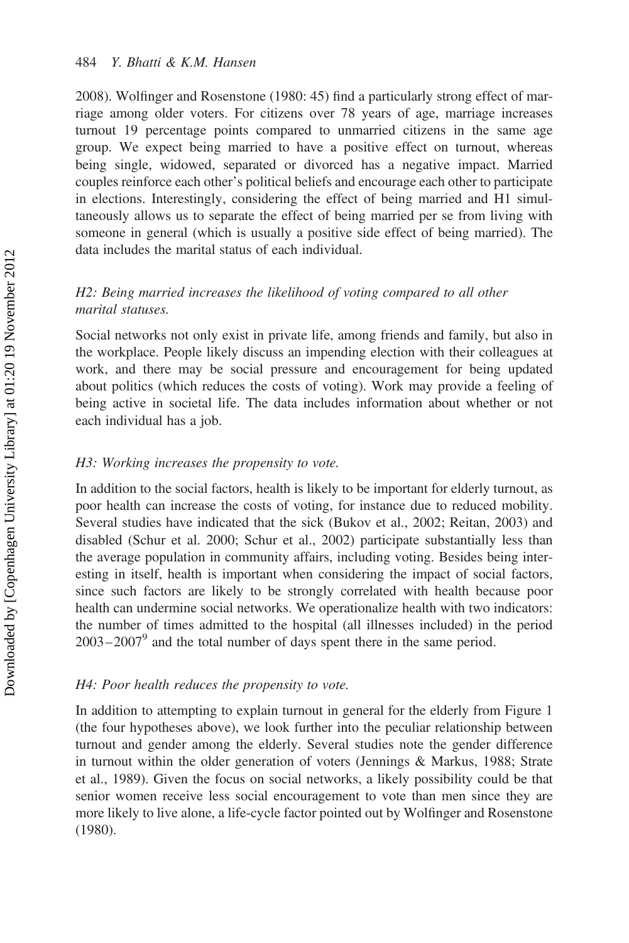2008). Wolfinger and Rosenstone (1980: 45) find a particularly strong effect of marriage among older voters. For citizens over 78 years of age, marriage increases turnout 19 percentage points compared to unmarried citizens in the same age group. We expect being married to have a positive effect on turnout, whereas being single, widowed, separated or divorced has a negative impact. Married couples reinforce each other's political beliefs and encourage each other to participate in elections. Interestingly, considering the effect of being married and H1 simultaneously allows us to separate the effect of being married per se from living with someone in general (which is usually a positive side effect of being married). The data includes the marital status of each individual.

## H2: Being married increases the likelihood of voting compared to all other marital statuses.

Social networks not only exist in private life, among friends and family, but also in the workplace. People likely discuss an impending election with their colleagues at work, and there may be social pressure and encouragement for being updated about politics (which reduces the costs of voting). Work may provide a feeling of being active in societal life. The data includes information about whether or not each individual has a job.

## H3: Working increases the propensity to vote.

In addition to the social factors, health is likely to be important for elderly turnout, as poor health can increase the costs of voting, for instance due to reduced mobility. Several studies have indicated that the sick (Bukov et al., 2002; Reitan, 2003) and disabled (Schur et al. 2000; Schur et al., 2002) participate substantially less than the average population in community affairs, including voting. Besides being interesting in itself, health is important when considering the impact of social factors, since such factors are likely to be strongly correlated with health because poor health can undermine social networks. We operationalize health with two indicators: the number of times admitted to the hospital (all illnesses included) in the period  $2003-2007<sup>9</sup>$  and the total number of days spent there in the same period.

#### H4: Poor health reduces the propensity to vote.

In addition to attempting to explain turnout in general for the elderly from Figure 1 (the four hypotheses above), we look further into the peculiar relationship between turnout and gender among the elderly. Several studies note the gender difference in turnout within the older generation of voters (Jennings & Markus, 1988; Strate et al., 1989). Given the focus on social networks, a likely possibility could be that senior women receive less social encouragement to vote than men since they are more likely to live alone, a life-cycle factor pointed out by Wolfinger and Rosenstone (1980).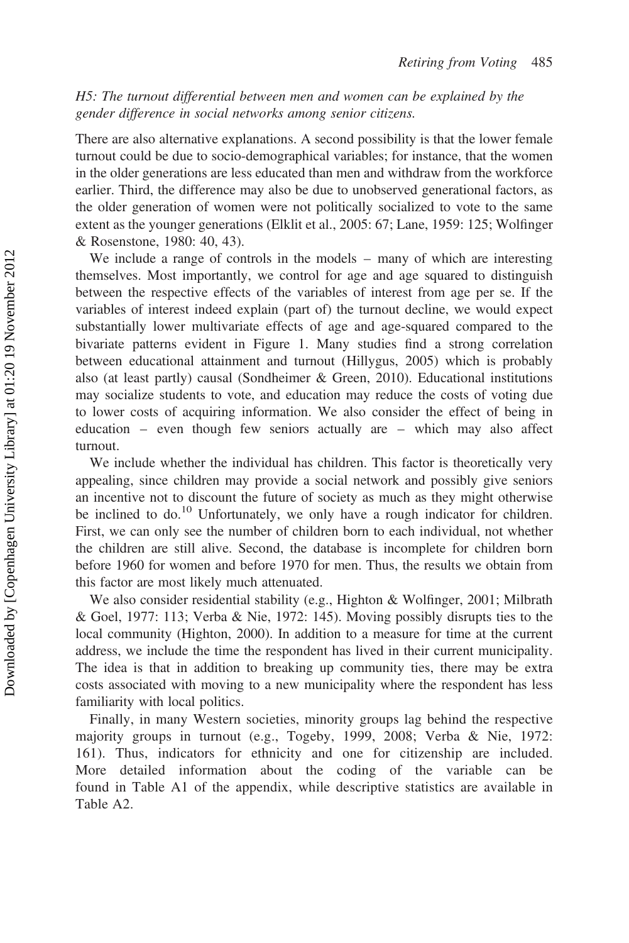## H5: The turnout differential between men and women can be explained by the gender difference in social networks among senior citizens.

There are also alternative explanations. A second possibility is that the lower female turnout could be due to socio-demographical variables; for instance, that the women in the older generations are less educated than men and withdraw from the workforce earlier. Third, the difference may also be due to unobserved generational factors, as the older generation of women were not politically socialized to vote to the same extent as the younger generations (Elklit et al., 2005: 67; Lane, 1959: 125; Wolfinger & Rosenstone, 1980: 40, 43).

We include a range of controls in the models – many of which are interesting themselves. Most importantly, we control for age and age squared to distinguish between the respective effects of the variables of interest from age per se. If the variables of interest indeed explain (part of) the turnout decline, we would expect substantially lower multivariate effects of age and age-squared compared to the bivariate patterns evident in Figure 1. Many studies find a strong correlation between educational attainment and turnout (Hillygus, 2005) which is probably also (at least partly) causal (Sondheimer & Green, 2010). Educational institutions may socialize students to vote, and education may reduce the costs of voting due to lower costs of acquiring information. We also consider the effect of being in education – even though few seniors actually are – which may also affect turnout.

We include whether the individual has children. This factor is theoretically very appealing, since children may provide a social network and possibly give seniors an incentive not to discount the future of society as much as they might otherwise be inclined to do.<sup>10</sup> Unfortunately, we only have a rough indicator for children. First, we can only see the number of children born to each individual, not whether the children are still alive. Second, the database is incomplete for children born before 1960 for women and before 1970 for men. Thus, the results we obtain from this factor are most likely much attenuated.

We also consider residential stability (e.g., Highton & Wolfinger, 2001; Milbrath & Goel, 1977: 113; Verba & Nie, 1972: 145). Moving possibly disrupts ties to the local community (Highton, 2000). In addition to a measure for time at the current address, we include the time the respondent has lived in their current municipality. The idea is that in addition to breaking up community ties, there may be extra costs associated with moving to a new municipality where the respondent has less familiarity with local politics.

Finally, in many Western societies, minority groups lag behind the respective majority groups in turnout (e.g., Togeby, 1999, 2008; Verba & Nie, 1972: 161). Thus, indicators for ethnicity and one for citizenship are included. More detailed information about the coding of the variable can be found in Table A1 of the appendix, while descriptive statistics are available in Table A2.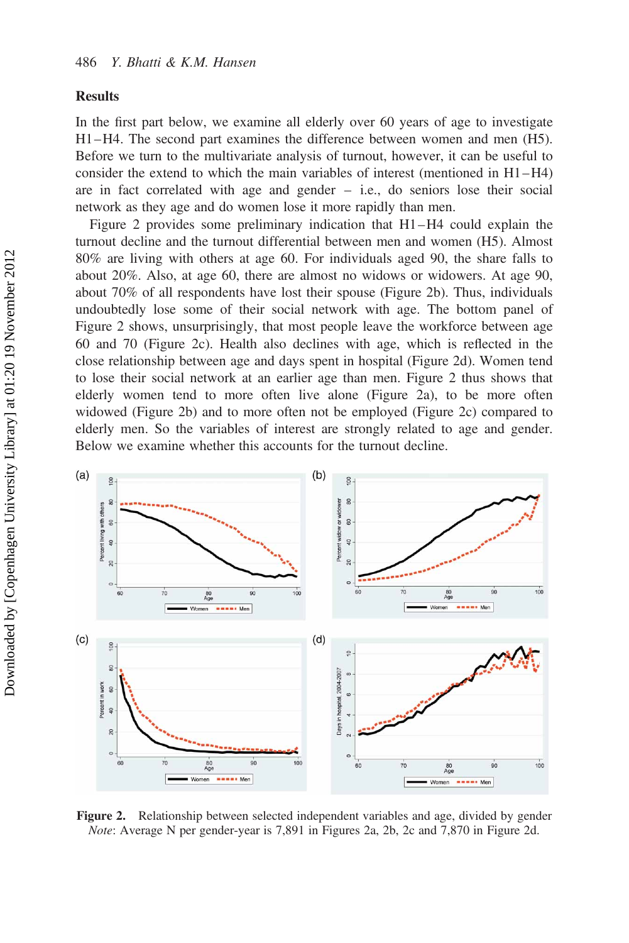#### Results

In the first part below, we examine all elderly over 60 years of age to investigate H1–H4. The second part examines the difference between women and men (H5). Before we turn to the multivariate analysis of turnout, however, it can be useful to consider the extend to which the main variables of interest (mentioned in H1–H4) are in fact correlated with age and gender  $-$  i.e., do seniors lose their social network as they age and do women lose it more rapidly than men.

Figure 2 provides some preliminary indication that H1–H4 could explain the turnout decline and the turnout differential between men and women (H5). Almost 80% are living with others at age 60. For individuals aged 90, the share falls to about 20%. Also, at age 60, there are almost no widows or widowers. At age 90, about 70% of all respondents have lost their spouse (Figure 2b). Thus, individuals undoubtedly lose some of their social network with age. The bottom panel of Figure 2 shows, unsurprisingly, that most people leave the workforce between age 60 and 70 (Figure 2c). Health also declines with age, which is reflected in the close relationship between age and days spent in hospital (Figure 2d). Women tend to lose their social network at an earlier age than men. Figure 2 thus shows that elderly women tend to more often live alone (Figure 2a), to be more often widowed (Figure 2b) and to more often not be employed (Figure 2c) compared to elderly men. So the variables of interest are strongly related to age and gender. Below we examine whether this accounts for the turnout decline.



Figure 2. Relationship between selected independent variables and age, divided by gender Note: Average N per gender-year is 7,891 in Figures 2a, 2b, 2c and 7,870 in Figure 2d.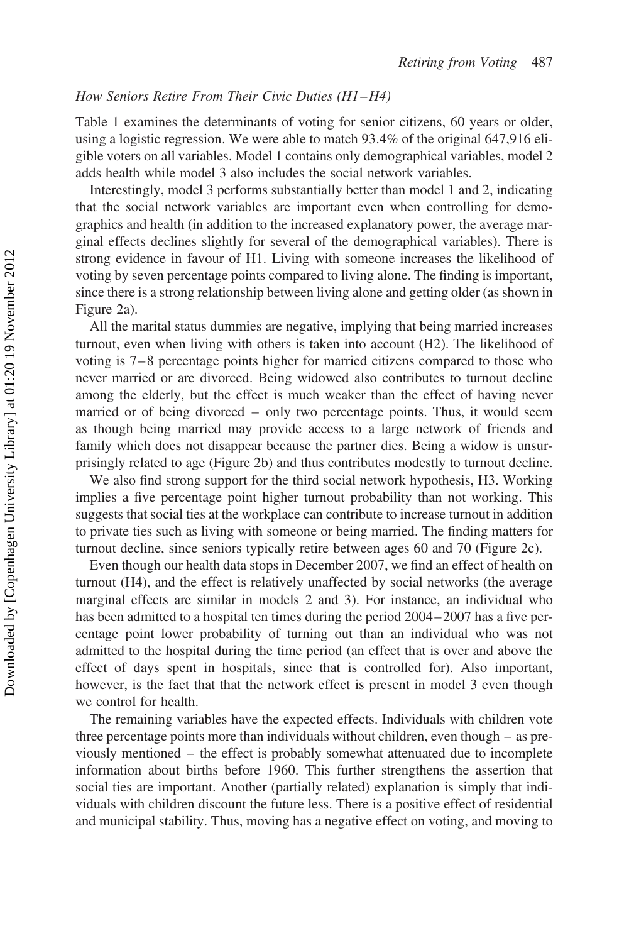### How Seniors Retire From Their Civic Duties (H1 –H4)

Table 1 examines the determinants of voting for senior citizens, 60 years or older, using a logistic regression. We were able to match 93.4% of the original 647,916 eligible voters on all variables. Model 1 contains only demographical variables, model 2 adds health while model 3 also includes the social network variables.

Interestingly, model 3 performs substantially better than model 1 and 2, indicating that the social network variables are important even when controlling for demographics and health (in addition to the increased explanatory power, the average marginal effects declines slightly for several of the demographical variables). There is strong evidence in favour of H1. Living with someone increases the likelihood of voting by seven percentage points compared to living alone. The finding is important, since there is a strong relationship between living alone and getting older (as shown in Figure 2a).

All the marital status dummies are negative, implying that being married increases turnout, even when living with others is taken into account (H2). The likelihood of voting is 7–8 percentage points higher for married citizens compared to those who never married or are divorced. Being widowed also contributes to turnout decline among the elderly, but the effect is much weaker than the effect of having never married or of being divorced – only two percentage points. Thus, it would seem as though being married may provide access to a large network of friends and family which does not disappear because the partner dies. Being a widow is unsurprisingly related to age (Figure 2b) and thus contributes modestly to turnout decline.

We also find strong support for the third social network hypothesis, H3. Working implies a five percentage point higher turnout probability than not working. This suggests that social ties at the workplace can contribute to increase turnout in addition to private ties such as living with someone or being married. The finding matters for turnout decline, since seniors typically retire between ages 60 and 70 (Figure 2c).

Even though our health data stops in December 2007, we find an effect of health on turnout (H4), and the effect is relatively unaffected by social networks (the average marginal effects are similar in models 2 and 3). For instance, an individual who has been admitted to a hospital ten times during the period 2004–2007 has a five percentage point lower probability of turning out than an individual who was not admitted to the hospital during the time period (an effect that is over and above the effect of days spent in hospitals, since that is controlled for). Also important, however, is the fact that that the network effect is present in model 3 even though we control for health.

The remaining variables have the expected effects. Individuals with children vote three percentage points more than individuals without children, even though – as previously mentioned – the effect is probably somewhat attenuated due to incomplete information about births before 1960. This further strengthens the assertion that social ties are important. Another (partially related) explanation is simply that individuals with children discount the future less. There is a positive effect of residential and municipal stability. Thus, moving has a negative effect on voting, and moving to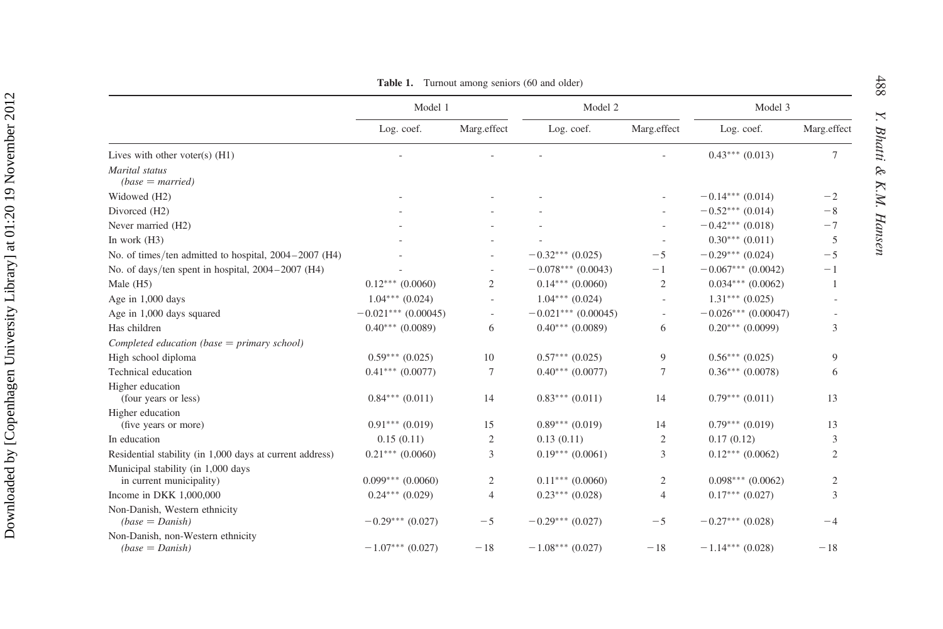|                                                                | Model 1               |             | Model 2               |                          | Model 3               |                |
|----------------------------------------------------------------|-----------------------|-------------|-----------------------|--------------------------|-----------------------|----------------|
|                                                                | Log. coef.            | Marg.effect | Log. coef.            | Marg.effect              | Log. coef.            | Marg.effect    |
| Lives with other voter(s) $(H1)$                               |                       |             |                       |                          | $0.43***(0.013)$      | $\tau$         |
| Marital status<br>$(base = married)$                           |                       |             |                       |                          |                       |                |
| Widowed (H2)                                                   |                       |             |                       | $\overline{\phantom{a}}$ | $-0.14***(0.014)$     | $-2$           |
| Divorced (H2)                                                  |                       |             |                       | $\overline{\phantom{a}}$ | $-0.52***(0.014)$     | $-8$           |
| Never married (H2)                                             |                       |             |                       |                          | $-0.42***(0.018)$     | $-7$           |
| In work $(H3)$                                                 |                       |             |                       |                          | $0.30***(0.011)$      | 5              |
| No. of times/ten admitted to hospital, 2004–2007 (H4)          |                       |             | $-0.32***(0.025)$     | $-5$                     | $-0.29***$ (0.024)    | $-5$           |
| No. of days/ten spent in hospital, 2004-2007 (H4)              |                       |             | $-0.078***$ (0.0043)  | $-1$                     | $-0.067***$ (0.0042)  | $-1$           |
| Male (H5)                                                      | $0.12***(0.0060)$     | 2           | $0.14***(0.0060)$     | 2                        | $0.034***$ $(0.0062)$ | 1              |
| Age in 1,000 days                                              | $1.04***(0.024)$      |             | $1.04***(0.024)$      | $\overline{a}$           | $1.31***(0.025)$      |                |
| Age in 1,000 days squared                                      | $-0.021***$ (0.00045) |             | $-0.021***$ (0.00045) | $\overline{\phantom{a}}$ | $-0.026***$ (0.00047) |                |
| Has children                                                   | $0.40***(0.0089)$     | 6           | $0.40***$ (0.0089)    | 6                        | $0.20***(0.0099)$     | 3              |
| Completed education (base $=$ primary school)                  |                       |             |                       |                          |                       |                |
| High school diploma                                            | $0.59***(0.025)$      | 10          | $0.57***(0.025)$      | 9                        | $0.56***(0.025)$      | 9              |
| Technical education                                            | $0.41***(0.0077)$     | 7           | $0.40***$ $(0.0077)$  | 7                        | $0.36***(0.0078)$     | 6              |
| Higher education<br>(four years or less)                       | $0.84***(0.011)$      | 14          | $0.83***(0.011)$      | 14                       | $0.79***(0.011)$      | 13             |
| Higher education<br>(five years or more)                       | $0.91***(0.019)$      | 15          | $0.89***(0.019)$      | 14                       | $0.79***(0.019)$      | 13             |
| In education                                                   | 0.15(0.11)            | $\sqrt{2}$  | 0.13(0.11)            | $\mathfrak{2}$           | 0.17(0.12)            | 3              |
| Residential stability (in 1,000 days at current address)       | $0.21***(0.0060)$     | 3           | $0.19***(0.0061)$     | 3                        | $0.12***(0.0062)$     | $\mathfrak{2}$ |
| Municipal stability (in 1,000 days<br>in current municipality) | $0.099***$ $(0.0060)$ | 2           | $0.11***(0.0060)$     | 2                        | $0.098***$ $(0.0062)$ | 2              |
| Income in DKK 1,000,000                                        | $0.24***(0.029)$      | 4           | $0.23***(0.028)$      | $\overline{4}$           | $0.17***$ $(0.027)$   | 3              |
| Non-Danish, Western ethnicity<br>$(base = Danish)$             | $-0.29***(0.027)$     | $-5$        | $-0.29***(0.027)$     | $-5$                     | $-0.27***$ (0.028)    | $-4$           |
| Non-Danish, non-Western ethnicity<br>$(base = Danish)$         | $-1.07***$ (0.027)    | $-18$       | $-1.08***(0.027)$     | $-18$                    | $-1.14***(0.028)$     | $-18$          |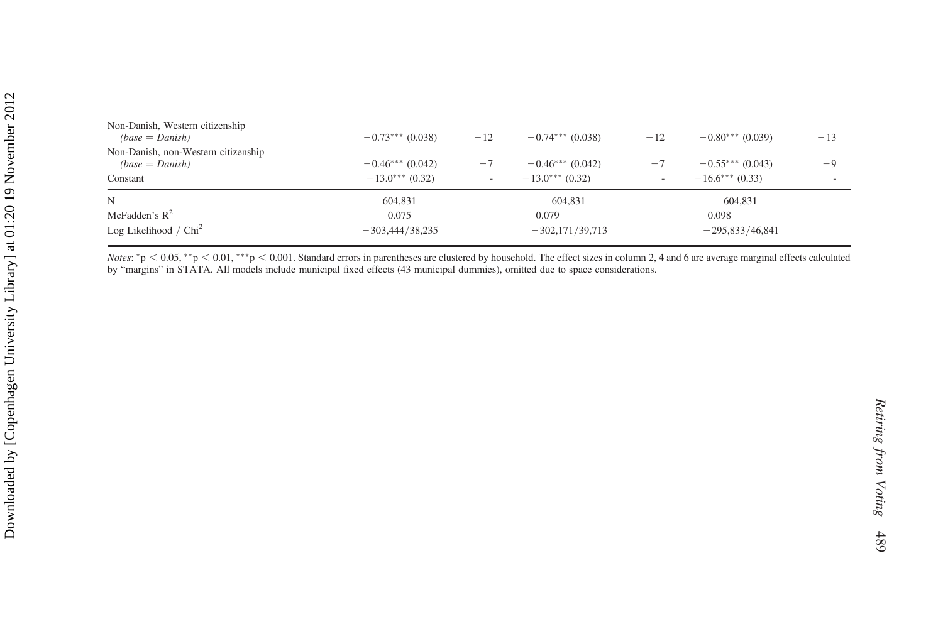| Non-Danish, Western citizenship<br>$(base = Danish)$     | $-0.73***(0.038)$ | $-12$ | $-0.74***(0.038)$ | $-12$                    | $-0.80***(0.039)$ | $-13$                    |
|----------------------------------------------------------|-------------------|-------|-------------------|--------------------------|-------------------|--------------------------|
| Non-Danish, non-Western citizenship<br>$(base = Danish)$ | $-0.46***(0.042)$ | $-7$  | $-0.46***(0.042)$ | $-7$                     | $-0.55***(0.043)$ | $-9$                     |
| Constant                                                 | $-13.0***$ (0.32) |       | $-13.0***$ (0.32) | $\overline{\phantom{a}}$ | $-16.6***(0.33)$  | $\overline{\phantom{a}}$ |
| N                                                        | 604,831           |       | 604.831           |                          | 604,831           |                          |
| McFadden's $R^2$                                         | 0.075             |       | 0.079             |                          | 0.098             |                          |
| Log Likelihood / $Chi2$                                  | $-303,444/38,235$ |       | $-302,171/39,713$ |                          | $-295,833/46,841$ |                          |

Notes: \*p  $<$  0.05, \*\*p  $<$  0.01, \*\*\*p  $<$  0.001. Standard errors in parentheses are clustered by household. The effect sizes in column 2, 4 and 6 are average marginal effects calculated by "margins" in STATA. All models include municipal fixed effects (43 municipal dummies), omitted due to space considerations.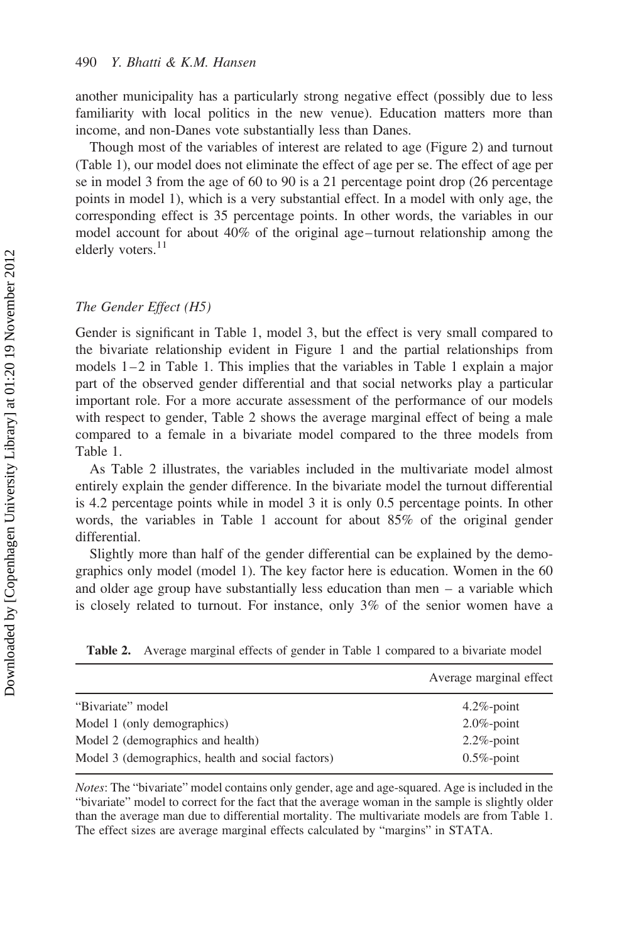another municipality has a particularly strong negative effect (possibly due to less familiarity with local politics in the new venue). Education matters more than income, and non-Danes vote substantially less than Danes.

Though most of the variables of interest are related to age (Figure 2) and turnout (Table 1), our model does not eliminate the effect of age per se. The effect of age per se in model 3 from the age of 60 to 90 is a 21 percentage point drop (26 percentage points in model 1), which is a very substantial effect. In a model with only age, the corresponding effect is 35 percentage points. In other words, the variables in our model account for about 40% of the original age–turnout relationship among the elderly voters.<sup>11</sup>

## The Gender Effect (H5)

Gender is significant in Table 1, model 3, but the effect is very small compared to the bivariate relationship evident in Figure 1 and the partial relationships from models  $1-2$  in Table 1. This implies that the variables in Table 1 explain a major part of the observed gender differential and that social networks play a particular important role. For a more accurate assessment of the performance of our models with respect to gender, Table 2 shows the average marginal effect of being a male compared to a female in a bivariate model compared to the three models from Table 1.

As Table 2 illustrates, the variables included in the multivariate model almost entirely explain the gender difference. In the bivariate model the turnout differential is 4.2 percentage points while in model 3 it is only 0.5 percentage points. In other words, the variables in Table 1 account for about 85% of the original gender differential.

Slightly more than half of the gender differential can be explained by the demographics only model (model 1). The key factor here is education. Women in the 60 and older age group have substantially less education than men – a variable which is closely related to turnout. For instance, only 3% of the senior women have a

|  |  |  | <b>Table 2.</b> Average marginal effects of gender in Table 1 compared to a bivariate model |  |
|--|--|--|---------------------------------------------------------------------------------------------|--|
|--|--|--|---------------------------------------------------------------------------------------------|--|

|                                                   | Average marginal effect |
|---------------------------------------------------|-------------------------|
| "Bivariate" model                                 | $4.2\%$ -point          |
| Model 1 (only demographics)                       | $2.0\%$ -point          |
| Model 2 (demographics and health)                 | $2.2\%$ -point          |
| Model 3 (demographics, health and social factors) | $0.5\%$ -point          |
|                                                   |                         |

Notes: The "bivariate" model contains only gender, age and age-squared. Age is included in the "bivariate" model to correct for the fact that the average woman in the sample is slightly older than the average man due to differential mortality. The multivariate models are from Table 1. The effect sizes are average marginal effects calculated by "margins" in STATA.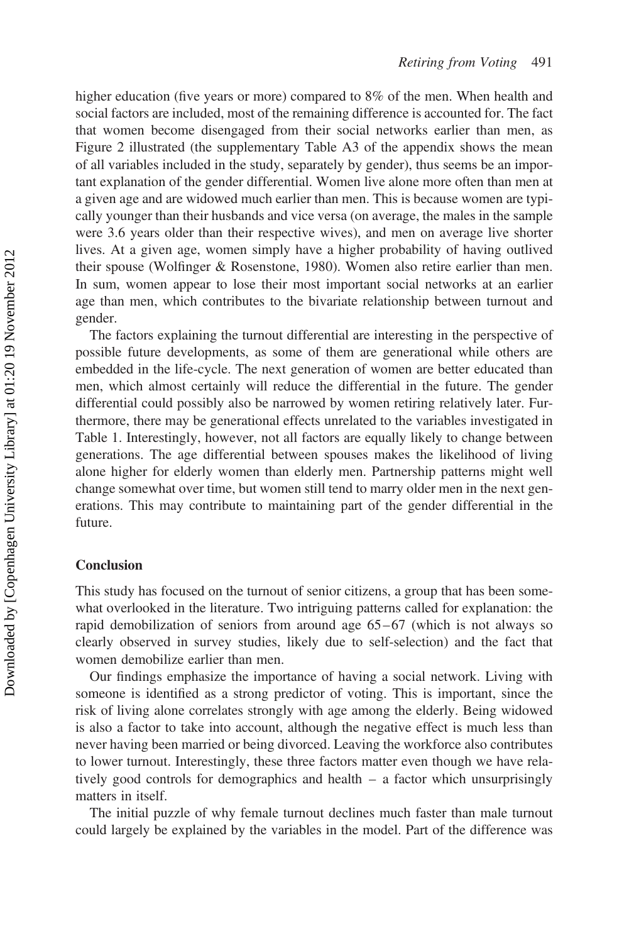higher education (five years or more) compared to 8% of the men. When health and social factors are included, most of the remaining difference is accounted for. The fact that women become disengaged from their social networks earlier than men, as Figure 2 illustrated (the supplementary Table A3 of the appendix shows the mean of all variables included in the study, separately by gender), thus seems be an important explanation of the gender differential. Women live alone more often than men at a given age and are widowed much earlier than men. This is because women are typically younger than their husbands and vice versa (on average, the males in the sample were 3.6 years older than their respective wives), and men on average live shorter lives. At a given age, women simply have a higher probability of having outlived their spouse (Wolfinger & Rosenstone, 1980). Women also retire earlier than men. In sum, women appear to lose their most important social networks at an earlier age than men, which contributes to the bivariate relationship between turnout and gender.

The factors explaining the turnout differential are interesting in the perspective of possible future developments, as some of them are generational while others are embedded in the life-cycle. The next generation of women are better educated than men, which almost certainly will reduce the differential in the future. The gender differential could possibly also be narrowed by women retiring relatively later. Furthermore, there may be generational effects unrelated to the variables investigated in Table 1. Interestingly, however, not all factors are equally likely to change between generations. The age differential between spouses makes the likelihood of living alone higher for elderly women than elderly men. Partnership patterns might well change somewhat over time, but women still tend to marry older men in the next generations. This may contribute to maintaining part of the gender differential in the future.

## Conclusion

This study has focused on the turnout of senior citizens, a group that has been somewhat overlooked in the literature. Two intriguing patterns called for explanation: the rapid demobilization of seniors from around age 65–67 (which is not always so clearly observed in survey studies, likely due to self-selection) and the fact that women demobilize earlier than men.

Our findings emphasize the importance of having a social network. Living with someone is identified as a strong predictor of voting. This is important, since the risk of living alone correlates strongly with age among the elderly. Being widowed is also a factor to take into account, although the negative effect is much less than never having been married or being divorced. Leaving the workforce also contributes to lower turnout. Interestingly, these three factors matter even though we have relatively good controls for demographics and health – a factor which unsurprisingly matters in itself.

The initial puzzle of why female turnout declines much faster than male turnout could largely be explained by the variables in the model. Part of the difference was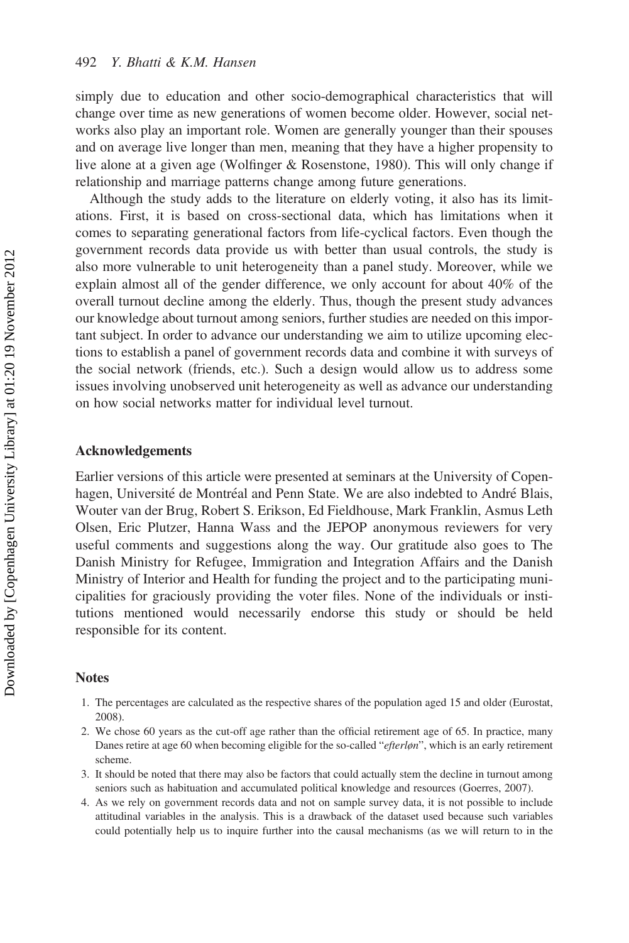simply due to education and other socio-demographical characteristics that will change over time as new generations of women become older. However, social networks also play an important role. Women are generally younger than their spouses and on average live longer than men, meaning that they have a higher propensity to live alone at a given age (Wolfinger & Rosenstone, 1980). This will only change if relationship and marriage patterns change among future generations.

Although the study adds to the literature on elderly voting, it also has its limitations. First, it is based on cross-sectional data, which has limitations when it comes to separating generational factors from life-cyclical factors. Even though the government records data provide us with better than usual controls, the study is also more vulnerable to unit heterogeneity than a panel study. Moreover, while we explain almost all of the gender difference, we only account for about 40% of the overall turnout decline among the elderly. Thus, though the present study advances our knowledge about turnout among seniors, further studies are needed on this important subject. In order to advance our understanding we aim to utilize upcoming elections to establish a panel of government records data and combine it with surveys of the social network (friends, etc.). Such a design would allow us to address some issues involving unobserved unit heterogeneity as well as advance our understanding on how social networks matter for individual level turnout.

#### Acknowledgements

Earlier versions of this article were presented at seminars at the University of Copenhagen, Université de Montréal and Penn State. We are also indebted to André Blais, Wouter van der Brug, Robert S. Erikson, Ed Fieldhouse, Mark Franklin, Asmus Leth Olsen, Eric Plutzer, Hanna Wass and the JEPOP anonymous reviewers for very useful comments and suggestions along the way. Our gratitude also goes to The Danish Ministry for Refugee, Immigration and Integration Affairs and the Danish Ministry of Interior and Health for funding the project and to the participating municipalities for graciously providing the voter files. None of the individuals or institutions mentioned would necessarily endorse this study or should be held responsible for its content.

#### **Notes**

- 1. The percentages are calculated as the respective shares of the population aged 15 and older (Eurostat, 2008).
- 2. We chose 60 years as the cut-off age rather than the official retirement age of 65. In practice, many Danes retire at age 60 when becoming eligible for the so-called "*efterløn*", which is an early retirement scheme.
- 3. It should be noted that there may also be factors that could actually stem the decline in turnout among seniors such as habituation and accumulated political knowledge and resources (Goerres, 2007).
- 4. As we rely on government records data and not on sample survey data, it is not possible to include attitudinal variables in the analysis. This is a drawback of the dataset used because such variables could potentially help us to inquire further into the causal mechanisms (as we will return to in the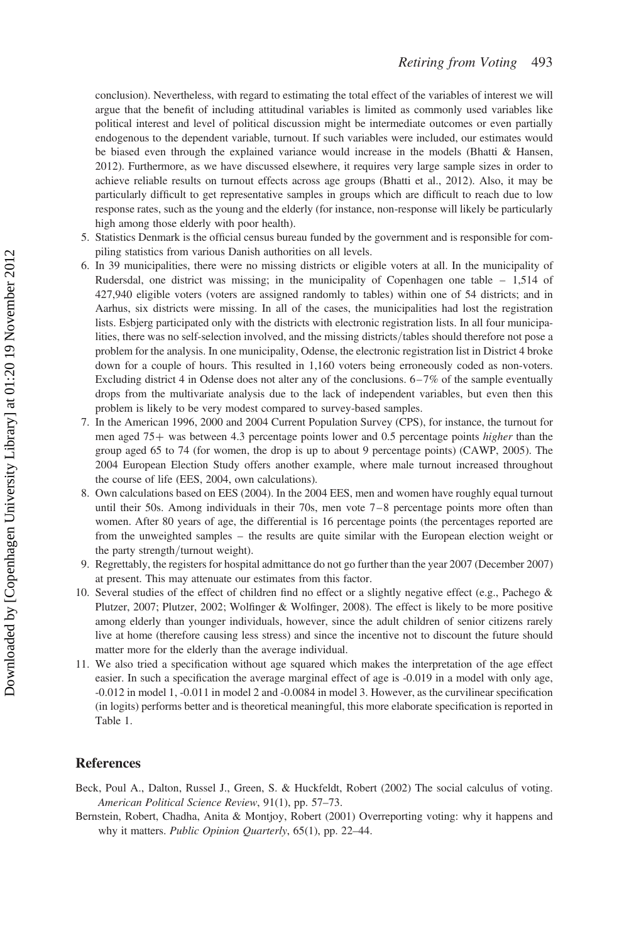conclusion). Nevertheless, with regard to estimating the total effect of the variables of interest we will argue that the benefit of including attitudinal variables is limited as commonly used variables like political interest and level of political discussion might be intermediate outcomes or even partially endogenous to the dependent variable, turnout. If such variables were included, our estimates would be biased even through the explained variance would increase in the models (Bhatti & Hansen, 2012). Furthermore, as we have discussed elsewhere, it requires very large sample sizes in order to achieve reliable results on turnout effects across age groups (Bhatti et al., 2012). Also, it may be particularly difficult to get representative samples in groups which are difficult to reach due to low response rates, such as the young and the elderly (for instance, non-response will likely be particularly high among those elderly with poor health).

- 5. Statistics Denmark is the official census bureau funded by the government and is responsible for compiling statistics from various Danish authorities on all levels.
- 6. In 39 municipalities, there were no missing districts or eligible voters at all. In the municipality of Rudersdal, one district was missing; in the municipality of Copenhagen one table – 1,514 of 427,940 eligible voters (voters are assigned randomly to tables) within one of 54 districts; and in Aarhus, six districts were missing. In all of the cases, the municipalities had lost the registration lists. Esbjerg participated only with the districts with electronic registration lists. In all four municipalities, there was no self-selection involved, and the missing districts/tables should therefore not pose a problem for the analysis. In one municipality, Odense, the electronic registration list in District 4 broke down for a couple of hours. This resulted in 1,160 voters being erroneously coded as non-voters. Excluding district 4 in Odense does not alter any of the conclusions.  $6-7\%$  of the sample eventually drops from the multivariate analysis due to the lack of independent variables, but even then this problem is likely to be very modest compared to survey-based samples.
- 7. In the American 1996, 2000 and 2004 Current Population Survey (CPS), for instance, the turnout for men aged  $75+$  was between 4.3 percentage points lower and 0.5 percentage points *higher* than the group aged 65 to 74 (for women, the drop is up to about 9 percentage points) (CAWP, 2005). The 2004 European Election Study offers another example, where male turnout increased throughout the course of life (EES, 2004, own calculations).
- 8. Own calculations based on EES (2004). In the 2004 EES, men and women have roughly equal turnout until their 50s. Among individuals in their 70s, men vote 7–8 percentage points more often than women. After 80 years of age, the differential is 16 percentage points (the percentages reported are from the unweighted samples – the results are quite similar with the European election weight or the party strength/turnout weight).
- 9. Regrettably, the registers for hospital admittance do not go further than the year 2007 (December 2007) at present. This may attenuate our estimates from this factor.
- 10. Several studies of the effect of children find no effect or a slightly negative effect (e.g., Pachego & Plutzer, 2007; Plutzer, 2002; Wolfinger & Wolfinger, 2008). The effect is likely to be more positive among elderly than younger individuals, however, since the adult children of senior citizens rarely live at home (therefore causing less stress) and since the incentive not to discount the future should matter more for the elderly than the average individual.
- 11. We also tried a specification without age squared which makes the interpretation of the age effect easier. In such a specification the average marginal effect of age is -0.019 in a model with only age, -0.012 in model 1, -0.011 in model 2 and -0.0084 in model 3. However, as the curvilinear specification (in logits) performs better and is theoretical meaningful, this more elaborate specification is reported in Table 1.

## References

- Beck, Poul A., Dalton, Russel J., Green, S. & Huckfeldt, Robert (2002) The social calculus of voting. American Political Science Review, 91(1), pp. 57–73.
- Bernstein, Robert, Chadha, Anita & Montjoy, Robert (2001) Overreporting voting: why it happens and why it matters. Public Opinion Quarterly, 65(1), pp. 22–44.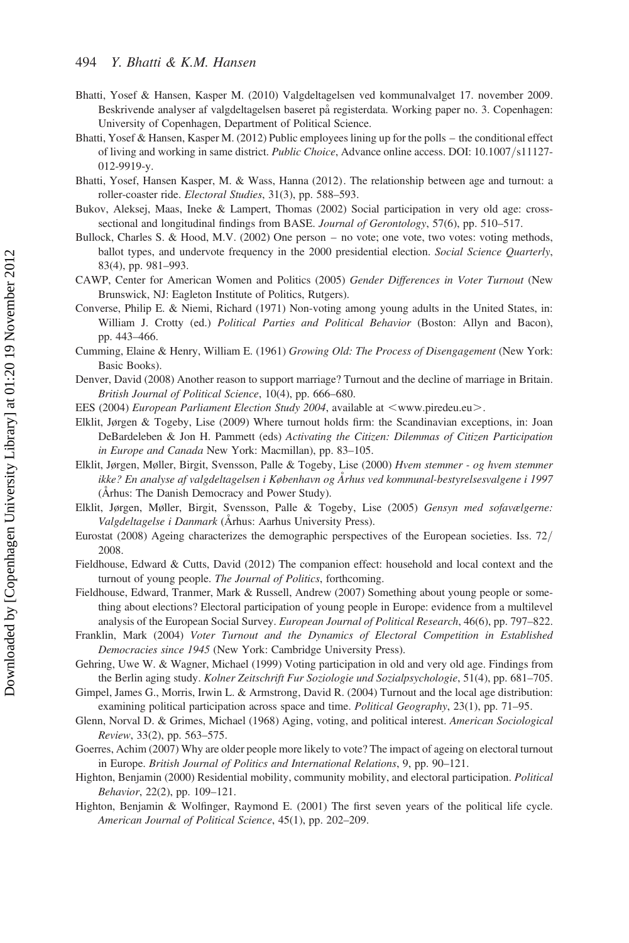- Bhatti, Yosef & Hansen, Kasper M. (2010) Valgdeltagelsen ved kommunalvalget 17. november 2009. Beskrivende analyser af valgdeltagelsen baseret på registerdata. Working paper no. 3. Copenhagen: University of Copenhagen, Department of Political Science.
- Bhatti, Yosef & Hansen, Kasper M. (2012) Public employees lining up for the polls the conditional effect of living and working in same district. Public Choice, Advance online access. DOI: 10.1007/s11127- 012-9919-y.
- Bhatti, Yosef, Hansen Kasper, M. & Wass, Hanna (2012). The relationship between age and turnout: a roller-coaster ride. Electoral Studies, 31(3), pp. 588–593.
- Bukov, Aleksej, Maas, Ineke & Lampert, Thomas (2002) Social participation in very old age: crosssectional and longitudinal findings from BASE. Journal of Gerontology, 57(6), pp. 510–517.
- Bullock, Charles S. & Hood, M.V. (2002) One person no vote; one vote, two votes: voting methods, ballot types, and undervote frequency in the 2000 presidential election. Social Science Quarterly, 83(4), pp. 981–993.
- CAWP, Center for American Women and Politics (2005) Gender Differences in Voter Turnout (New Brunswick, NJ: Eagleton Institute of Politics, Rutgers).
- Converse, Philip E. & Niemi, Richard (1971) Non-voting among young adults in the United States, in: William J. Crotty (ed.) Political Parties and Political Behavior (Boston: Allyn and Bacon), pp. 443–466.
- Cumming, Elaine & Henry, William E. (1961) Growing Old: The Process of Disengagement (New York: Basic Books).
- Denver, David (2008) Another reason to support marriage? Turnout and the decline of marriage in Britain. British Journal of Political Science, 10(4), pp. 666–680.
- EES (2004) *European Parliament Election Study 2004*, available at  $\langle www.piredeu.eu\rangle$  $\langle www.piredeu.eu\rangle$  $\langle www.piredeu.eu\rangle$ [.](http://www.piredeu.eu)
- Elklit, Jørgen & Togeby, Lise (2009) Where turnout holds firm: the Scandinavian exceptions, in: Joan DeBardeleben & Jon H. Pammett (eds) Activating the Citizen: Dilemmas of Citizen Participation in Europe and Canada New York: Macmillan), pp. 83–105.
- Elklit, Jørgen, Møller, Birgit, Svensson, Palle & Togeby, Lise (2000) Hvem stemmer og hvem stemmer ikke? En analyse af valgdeltagelsen i København og A˚rhus ved kommunal-bestyrelsesvalgene i 1997 (Arhus: The Danish Democracy and Power Study).
- Elklit, Jørgen, Møller, Birgit, Svensson, Palle & Togeby, Lise (2005) Gensyn med sofavælgerne: Valgdeltagelse i Danmark (Århus: Aarhus University Press).
- Eurostat (2008) Ageing characterizes the demographic perspectives of the European societies. Iss. 72/ 2008.
- Fieldhouse, Edward & Cutts, David (2012) The companion effect: household and local context and the turnout of young people. The Journal of Politics, forthcoming.
- Fieldhouse, Edward, Tranmer, Mark & Russell, Andrew (2007) Something about young people or something about elections? Electoral participation of young people in Europe: evidence from a multilevel analysis of the European Social Survey. European Journal of Political Research, 46(6), pp. 797–822.
- Franklin, Mark (2004) Voter Turnout and the Dynamics of Electoral Competition in Established Democracies since 1945 (New York: Cambridge University Press).
- Gehring, Uwe W. & Wagner, Michael (1999) Voting participation in old and very old age. Findings from the Berlin aging study. Kolner Zeitschrift Fur Soziologie und Sozialpsychologie, 51(4), pp. 681–705.
- Gimpel, James G., Morris, Irwin L. & Armstrong, David R. (2004) Turnout and the local age distribution: examining political participation across space and time. *Political Geography*, 23(1), pp. 71–95.
- Glenn, Norval D. & Grimes, Michael (1968) Aging, voting, and political interest. American Sociological Review, 33(2), pp. 563–575.
- Goerres, Achim (2007) Why are older people more likely to vote? The impact of ageing on electoral turnout in Europe. British Journal of Politics and International Relations, 9, pp. 90–121.
- Highton, Benjamin (2000) Residential mobility, community mobility, and electoral participation. Political Behavior, 22(2), pp. 109–121.
- Highton, Benjamin & Wolfinger, Raymond E. (2001) The first seven years of the political life cycle. American Journal of Political Science, 45(1), pp. 202–209.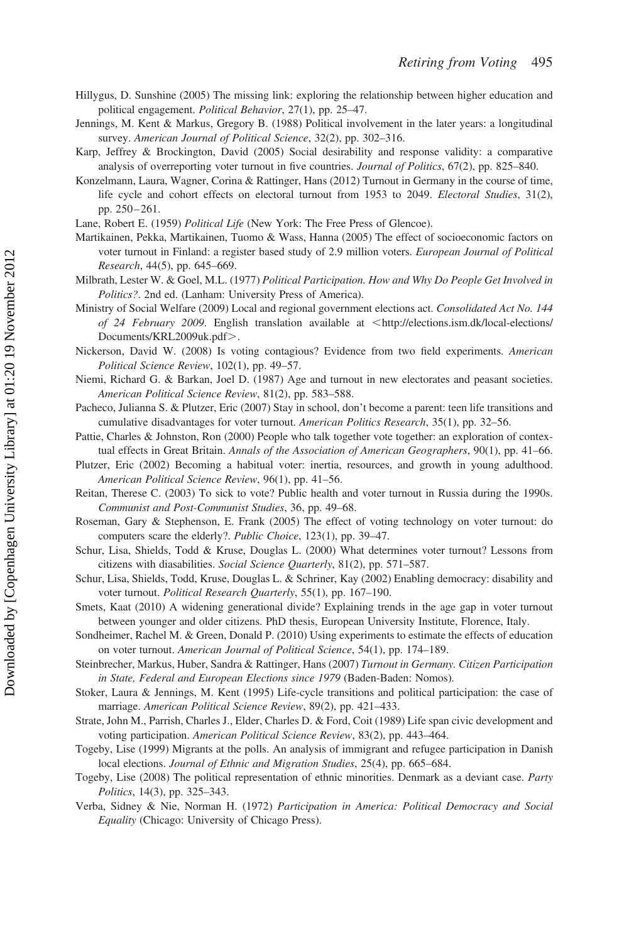- Hillygus, D. Sunshine (2005) The missing link: exploring the relationship between higher education and political engagement. Political Behavior, 27(1), pp. 25–47.
- Jennings, M. Kent & Markus, Gregory B. (1988) Political involvement in the later years: a longitudinal survey. American Journal of Political Science, 32(2), pp. 302–316.
- Karp, Jeffrey & Brockington, David (2005) Social desirability and response validity: a comparative analysis of overreporting voter turnout in five countries. Journal of Politics, 67(2), pp. 825–840.
- Konzelmann, Laura, Wagner, Corina & Rattinger, Hans (2012) Turnout in Germany in the course of time, life cycle and cohort effects on electoral turnout from 1953 to 2049. Electoral Studies, 31(2), pp. 250–261.
- Lane, Robert E. (1959) Political Life (New York: The Free Press of Glencoe).
- Martikainen, Pekka, Martikainen, Tuomo & Wass, Hanna (2005) The effect of socioeconomic factors on voter turnout in Finland: a register based study of 2.9 million voters. European Journal of Political Research, 44(5), pp. 645–669.
- Milbrath, Lester W. & Goel, M.L. (1977) Political Participation. How and Why Do People Get Involved in Politics?. 2nd ed. (Lanham: University Press of America).
- Ministry of Social Welfare (2009) Local and regional government elections act. Consolidated Act No. 144 of 24 February 2009. English translation available at <[http://elections.ism.dk/local-elections/](http://elections.ism.dk/local-elections/Documents/KRL2009uk.pdf) [Documents/KRL2009uk.pdf](http://elections.ism.dk/local-elections/Documents/KRL2009uk.pdf)>.
- Nickerson, David W. (2008) Is voting contagious? Evidence from two field experiments. American Political Science Review, 102(1), pp. 49–57.
- Niemi, Richard G. & Barkan, Joel D. (1987) Age and turnout in new electorates and peasant societies. American Political Science Review, 81(2), pp. 583–588.
- Pacheco, Julianna S. & Plutzer, Eric (2007) Stay in school, don't become a parent: teen life transitions and cumulative disadvantages for voter turnout. American Politics Research, 35(1), pp. 32–56.
- Pattie, Charles & Johnston, Ron (2000) People who talk together vote together: an exploration of contextual effects in Great Britain. Annals of the Association of American Geographers, 90(1), pp. 41–66.
- Plutzer, Eric (2002) Becoming a habitual voter: inertia, resources, and growth in young adulthood. American Political Science Review, 96(1), pp. 41–56.
- Reitan, Therese C. (2003) To sick to vote? Public health and voter turnout in Russia during the 1990s. Communist and Post-Communist Studies, 36, pp. 49–68.
- Roseman, Gary & Stephenson, E. Frank (2005) The effect of voting technology on voter turnout: do computers scare the elderly?. Public Choice, 123(1), pp. 39–47.
- Schur, Lisa, Shields, Todd & Kruse, Douglas L. (2000) What determines voter turnout? Lessons from citizens with diasabilities. Social Science Quarterly, 81(2), pp. 571–587.
- Schur, Lisa, Shields, Todd, Kruse, Douglas L. & Schriner, Kay (2002) Enabling democracy: disability and voter turnout. Political Research Quarterly, 55(1), pp. 167–190.
- Smets, Kaat (2010) A widening generational divide? Explaining trends in the age gap in voter turnout between younger and older citizens. PhD thesis, European University Institute, Florence, Italy.
- Sondheimer, Rachel M. & Green, Donald P. (2010) Using experiments to estimate the effects of education on voter turnout. American Journal of Political Science, 54(1), pp. 174–189.
- Steinbrecher, Markus, Huber, Sandra & Rattinger, Hans (2007) Turnout in Germany. Citizen Participation in State, Federal and European Elections since 1979 (Baden-Baden: Nomos).
- Stoker, Laura & Jennings, M. Kent (1995) Life-cycle transitions and political participation: the case of marriage. American Political Science Review, 89(2), pp. 421–433.
- Strate, John M., Parrish, Charles J., Elder, Charles D. & Ford, Coit (1989) Life span civic development and voting participation. American Political Science Review, 83(2), pp. 443–464.
- Togeby, Lise (1999) Migrants at the polls. An analysis of immigrant and refugee participation in Danish local elections. Journal of Ethnic and Migration Studies, 25(4), pp. 665–684.
- Togeby, Lise (2008) The political representation of ethnic minorities. Denmark as a deviant case. Party Politics, 14(3), pp. 325–343.
- Verba, Sidney & Nie, Norman H. (1972) Participation in America: Political Democracy and Social Equality (Chicago: University of Chicago Press).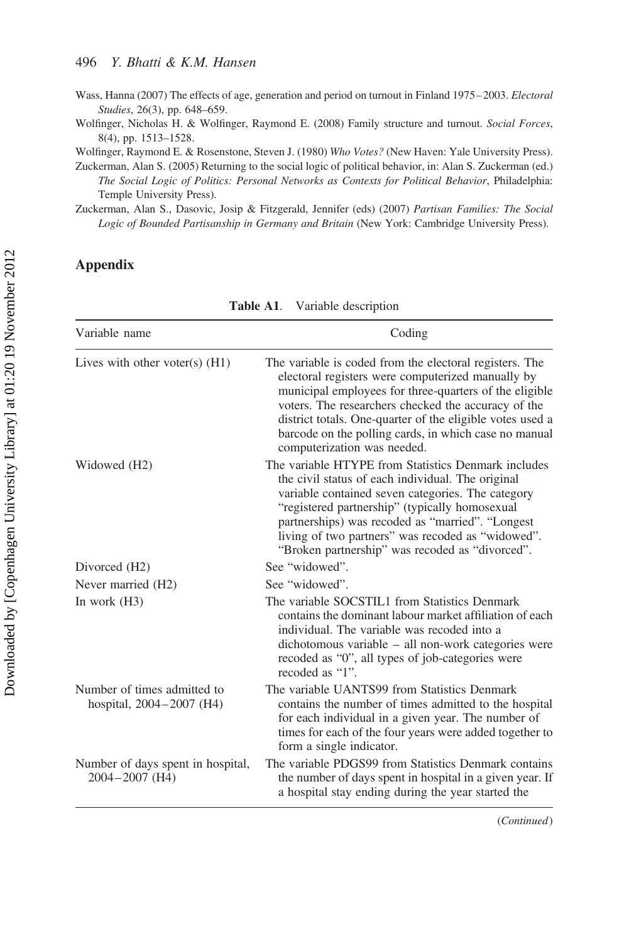## 496 Y. Bhatti & K.M. Hansen

Wass, Hanna (2007) The effects of age, generation and period on turnout in Finland 1975–2003. Electoral Studies, 26(3), pp. 648–659.

Wolfinger, Nicholas H. & Wolfinger, Raymond E. (2008) Family structure and turnout. Social Forces, 8(4), pp. 1513–1528.

Wolfinger, Raymond E. & Rosenstone, Steven J. (1980) Who Votes? (New Haven: Yale University Press).

Zuckerman, Alan S. (2005) Returning to the social logic of political behavior, in: Alan S. Zuckerman (ed.) The Social Logic of Politics: Personal Networks as Contexts for Political Behavior, Philadelphia: Temple University Press).

Zuckerman, Alan S., Dasovic, Josip & Fitzgerald, Jennifer (eds) (2007) Partisan Families: The Social Logic of Bounded Partisanship in Germany and Britain (New York: Cambridge University Press).

## Appendix

| Variable name                                           | Coding                                                                                                                                                                                                                                                                                                                                                                             |
|---------------------------------------------------------|------------------------------------------------------------------------------------------------------------------------------------------------------------------------------------------------------------------------------------------------------------------------------------------------------------------------------------------------------------------------------------|
| Lives with other voter(s) $(H1)$                        | The variable is coded from the electoral registers. The<br>electoral registers were computerized manually by<br>municipal employees for three-quarters of the eligible<br>voters. The researchers checked the accuracy of the<br>district totals. One-quarter of the eligible votes used a<br>barcode on the polling cards, in which case no manual<br>computerization was needed. |
| Widowed (H2)                                            | The variable HTYPE from Statistics Denmark includes<br>the civil status of each individual. The original<br>variable contained seven categories. The category<br>"registered partnership" (typically homosexual<br>partnerships) was recoded as "married". "Longest<br>living of two partners" was recoded as "widowed".<br>"Broken partnership" was recoded as "divorced".        |
| Divorced (H2)                                           | See "widowed".                                                                                                                                                                                                                                                                                                                                                                     |
| Never married (H2)                                      | See "widowed".                                                                                                                                                                                                                                                                                                                                                                     |
| In work $(H3)$                                          | The variable SOCSTIL1 from Statistics Denmark<br>contains the dominant labour market affiliation of each<br>individual. The variable was recoded into a<br>dichotomous variable – all non-work categories were<br>recoded as "0", all types of job-categories were<br>recoded as "1".                                                                                              |
| Number of times admitted to<br>hospital, 2004–2007 (H4) | The variable UANTS99 from Statistics Denmark<br>contains the number of times admitted to the hospital<br>for each individual in a given year. The number of<br>times for each of the four years were added together to<br>form a single indicator.                                                                                                                                 |
| Number of days spent in hospital,<br>2004-2007 (H4)     | The variable PDGS99 from Statistics Denmark contains<br>the number of days spent in hospital in a given year. If<br>a hospital stay ending during the year started the                                                                                                                                                                                                             |

Table A1. Variable description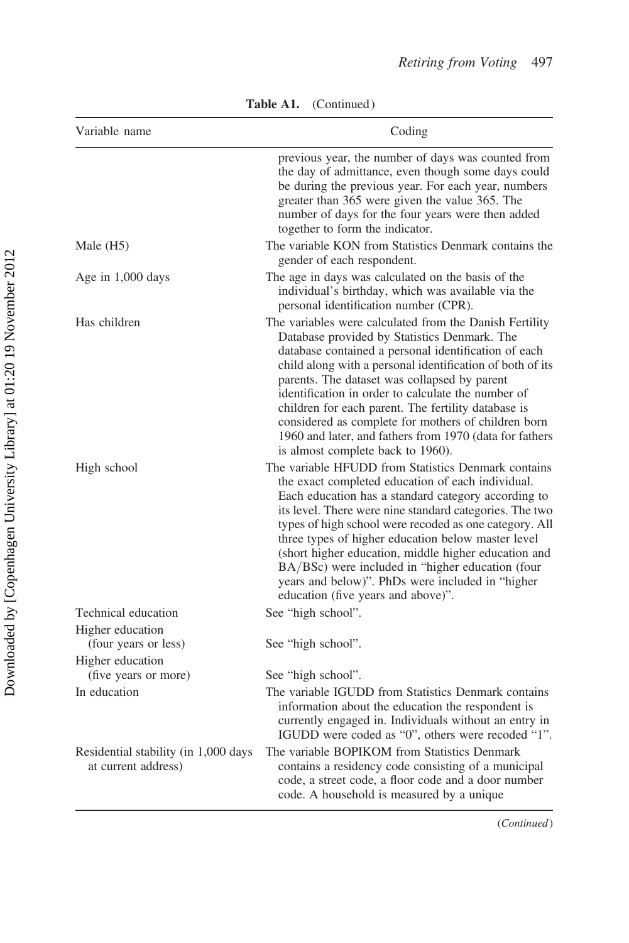| Variable name                                               | Coding                                                                                                                                                                                                                                                                                                                                                                                                                                                                                                                                           |  |  |  |
|-------------------------------------------------------------|--------------------------------------------------------------------------------------------------------------------------------------------------------------------------------------------------------------------------------------------------------------------------------------------------------------------------------------------------------------------------------------------------------------------------------------------------------------------------------------------------------------------------------------------------|--|--|--|
|                                                             | previous year, the number of days was counted from<br>the day of admittance, even though some days could<br>be during the previous year. For each year, numbers<br>greater than 365 were given the value 365. The<br>number of days for the four years were then added<br>together to form the indicator.                                                                                                                                                                                                                                        |  |  |  |
| Male (H5)                                                   | The variable KON from Statistics Denmark contains the<br>gender of each respondent.                                                                                                                                                                                                                                                                                                                                                                                                                                                              |  |  |  |
| Age in $1,000$ days                                         | The age in days was calculated on the basis of the<br>individual's birthday, which was available via the<br>personal identification number (CPR).                                                                                                                                                                                                                                                                                                                                                                                                |  |  |  |
| Has children                                                | The variables were calculated from the Danish Fertility<br>Database provided by Statistics Denmark. The<br>database contained a personal identification of each<br>child along with a personal identification of both of its<br>parents. The dataset was collapsed by parent<br>identification in order to calculate the number of<br>children for each parent. The fertility database is<br>considered as complete for mothers of children born<br>1960 and later, and fathers from 1970 (data for fathers<br>is almost complete back to 1960). |  |  |  |
| High school                                                 | The variable HFUDD from Statistics Denmark contains<br>the exact completed education of each individual.<br>Each education has a standard category according to<br>its level. There were nine standard categories. The two<br>types of high school were recoded as one category. All<br>three types of higher education below master level<br>(short higher education, middle higher education and<br>BA/BSc) were included in "higher education (four<br>years and below)". PhDs were included in "higher<br>education (five years and above)". |  |  |  |
| Technical education                                         | See "high school".                                                                                                                                                                                                                                                                                                                                                                                                                                                                                                                               |  |  |  |
| Higher education<br>(four years or less)                    | See "high school".                                                                                                                                                                                                                                                                                                                                                                                                                                                                                                                               |  |  |  |
| Higher education                                            |                                                                                                                                                                                                                                                                                                                                                                                                                                                                                                                                                  |  |  |  |
| (five years or more)<br>In education                        | See "high school".<br>The variable IGUDD from Statistics Denmark contains                                                                                                                                                                                                                                                                                                                                                                                                                                                                        |  |  |  |
|                                                             | information about the education the respondent is<br>currently engaged in. Individuals without an entry in<br>IGUDD were coded as "0", others were recoded "1".                                                                                                                                                                                                                                                                                                                                                                                  |  |  |  |
| Residential stability (in 1,000 days<br>at current address) | The variable BOPIKOM from Statistics Denmark<br>contains a residency code consisting of a municipal<br>code, a street code, a floor code and a door number<br>code. A household is measured by a unique                                                                                                                                                                                                                                                                                                                                          |  |  |  |

Table A1. (Continued)

(Continued)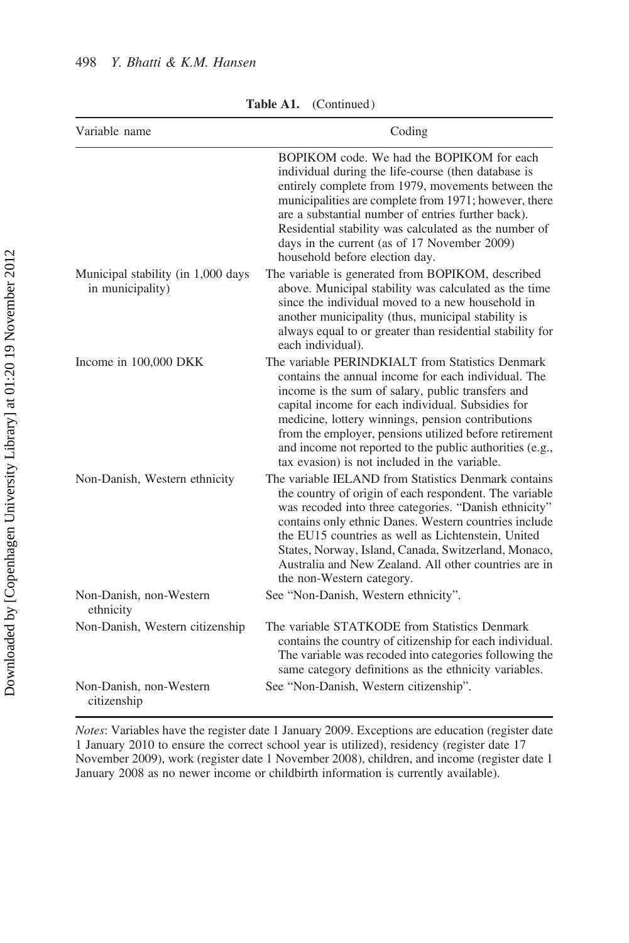| Variable name                                          | Coding                                                                                                                                                                                                                                                                                                                                                                                                                                        |
|--------------------------------------------------------|-----------------------------------------------------------------------------------------------------------------------------------------------------------------------------------------------------------------------------------------------------------------------------------------------------------------------------------------------------------------------------------------------------------------------------------------------|
|                                                        | BOPIKOM code. We had the BOPIKOM for each<br>individual during the life-course (then database is<br>entirely complete from 1979, movements between the<br>municipalities are complete from 1971; however, there<br>are a substantial number of entries further back).<br>Residential stability was calculated as the number of<br>days in the current (as of 17 November 2009)<br>household before election day.                              |
| Municipal stability (in 1,000 days<br>in municipality) | The variable is generated from BOPIKOM, described<br>above. Municipal stability was calculated as the time<br>since the individual moved to a new household in<br>another municipality (thus, municipal stability is<br>always equal to or greater than residential stability for<br>each individual).                                                                                                                                        |
| Income in 100,000 DKK                                  | The variable PERINDKIALT from Statistics Denmark<br>contains the annual income for each individual. The<br>income is the sum of salary, public transfers and<br>capital income for each individual. Subsidies for<br>medicine, lottery winnings, pension contributions<br>from the employer, pensions utilized before retirement<br>and income not reported to the public authorities (e.g.,<br>tax evasion) is not included in the variable. |
| Non-Danish, Western ethnicity                          | The variable IELAND from Statistics Denmark contains<br>the country of origin of each respondent. The variable<br>was recoded into three categories. "Danish ethnicity"<br>contains only ethnic Danes. Western countries include<br>the EU15 countries as well as Lichtenstein, United<br>States, Norway, Island, Canada, Switzerland, Monaco,<br>Australia and New Zealand. All other countries are in<br>the non-Western category.          |
| Non-Danish, non-Western<br>ethnicity                   | See "Non-Danish, Western ethnicity".                                                                                                                                                                                                                                                                                                                                                                                                          |
| Non-Danish, Western citizenship                        | The variable STATKODE from Statistics Denmark<br>contains the country of citizenship for each individual.<br>The variable was recoded into categories following the<br>same category definitions as the ethnicity variables.                                                                                                                                                                                                                  |
| Non-Danish, non-Western<br>citizenship                 | See "Non-Danish, Western citizenship".                                                                                                                                                                                                                                                                                                                                                                                                        |

Table A1. (Continued)

Notes: Variables have the register date 1 January 2009. Exceptions are education (register date 1 January 2010 to ensure the correct school year is utilized), residency (register date 17 November 2009), work (register date 1 November 2008), children, and income (register date 1 January 2008 as no newer income or childbirth information is currently available).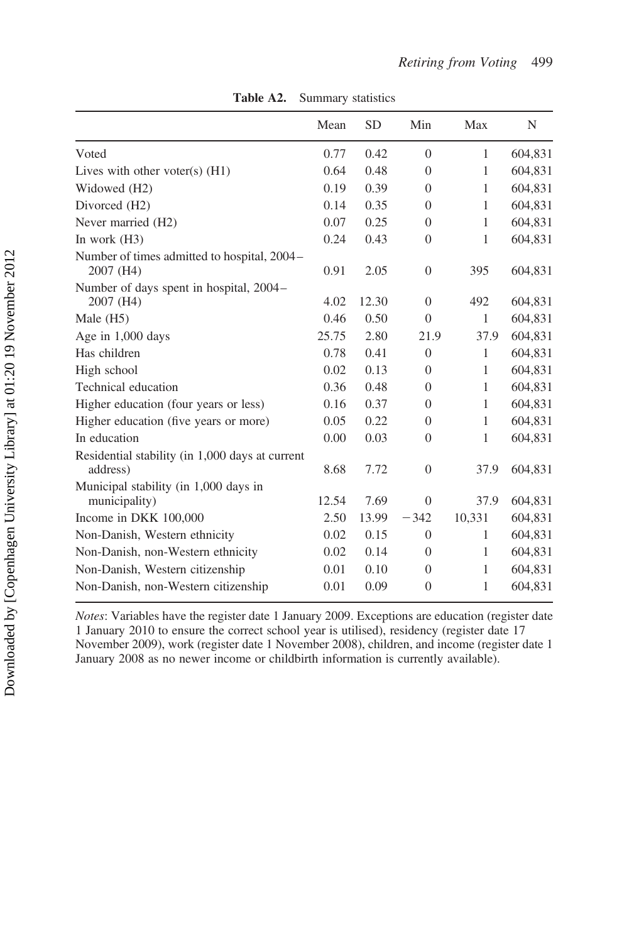|                                                                                                     | Mean  | <b>SD</b> | Min      | Max          | N       |
|-----------------------------------------------------------------------------------------------------|-------|-----------|----------|--------------|---------|
| Voted                                                                                               | 0.77  | 0.42      | $\Omega$ | 1            | 604,831 |
| Lives with other voter(s) $(H1)$                                                                    | 0.64  | 0.48      | $\Omega$ | 1            | 604,831 |
| Widowed (H2)                                                                                        | 0.19  | 0.39      | $\Omega$ | 1            | 604,831 |
| Divorced (H2)                                                                                       | 0.14  | 0.35      | $\Omega$ | $\mathbf{1}$ | 604,831 |
| Never married (H2)                                                                                  | 0.07  | 0.25      | $\Omega$ | 1            | 604,831 |
| In work $(H3)$                                                                                      | 0.24  | 0.43      | $\Omega$ | $\mathbf{1}$ | 604,831 |
| Number of times admitted to hospital, 2004-<br>2007 (H4)<br>Number of days spent in hospital, 2004- | 0.91  | 2.05      | $\Omega$ | 395          | 604,831 |
| 2007 (H4)                                                                                           | 4.02  | 12.30     | $\Omega$ | 492          | 604,831 |
| Male $(H5)$                                                                                         | 0.46  | 0.50      | $\Omega$ | $\mathbf{1}$ | 604,831 |
| Age in 1,000 days                                                                                   | 25.75 | 2.80      | 21.9     | 37.9         | 604,831 |
| Has children                                                                                        | 0.78  | 0.41      | $\Omega$ | 1            | 604,831 |
| High school                                                                                         | 0.02  | 0.13      | $\Omega$ | $\mathbf{1}$ | 604,831 |
| Technical education                                                                                 | 0.36  | 0.48      | $\Omega$ | 1            | 604,831 |
| Higher education (four years or less)                                                               | 0.16  | 0.37      | $\Omega$ | 1            | 604,831 |
| Higher education (five years or more)                                                               | 0.05  | 0.22      | $\Omega$ | 1            | 604,831 |
| In education                                                                                        | 0.00  | 0.03      | $\theta$ | $\mathbf{1}$ | 604,831 |
| Residential stability (in 1,000 days at current<br>address)                                         | 8.68  | 7.72      | $\Omega$ | 37.9         | 604,831 |
| Municipal stability (in 1,000 days in<br>municipality)                                              | 12.54 | 7.69      | $\theta$ | 37.9         | 604,831 |
| Income in DKK 100,000                                                                               | 2.50  | 13.99     | $-342$   | 10,331       | 604,831 |
| Non-Danish, Western ethnicity                                                                       | 0.02  | 0.15      | $\Omega$ | 1            | 604,831 |
| Non-Danish, non-Western ethnicity                                                                   | 0.02  | 0.14      | $\Omega$ | 1            | 604,831 |
| Non-Danish, Western citizenship                                                                     | 0.01  | 0.10      | $\Omega$ | $\mathbf{1}$ | 604,831 |
| Non-Danish, non-Western citizenship                                                                 | 0.01  | 0.09      | $\theta$ | 1            | 604,831 |

Table A2. Summary statistics

Notes: Variables have the register date 1 January 2009. Exceptions are education (register date 1 January 2010 to ensure the correct school year is utilised), residency (register date 17 November 2009), work (register date 1 November 2008), children, and income (register date 1 January 2008 as no newer income or childbirth information is currently available).